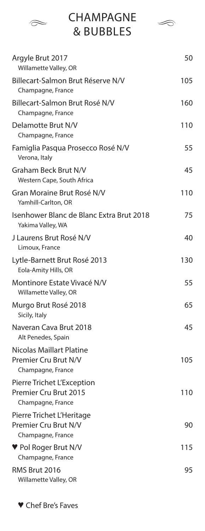| <b>CHAMPAGNE</b><br><b>&amp; BUBBLES</b>                                 |     |
|--------------------------------------------------------------------------|-----|
| Argyle Brut 2017<br>Willamette Valley, OR                                | 50  |
| Billecart-Salmon Brut Réserve N/V<br>Champagne, France                   | 105 |
| Billecart-Salmon Brut Rosé N/V<br>Champagne, France                      | 160 |
| Delamotte Brut N/V<br>Champagne, France                                  | 110 |
| Famiglia Pasqua Prosecco Rosé N/V<br>Verona, Italy                       | 55  |
| Graham Beck Brut N/V<br>Western Cape, South Africa                       | 45  |
| Gran Moraine Brut Rosé N/V<br>Yamhill-Carlton, OR                        | 110 |
| Isenhower Blanc de Blanc Extra Brut 2018<br>Yakima Valley, WA            | 75  |
| J Laurens Brut Rosé N/V<br>Limoux, France                                | 40  |
| Lytle-Barnett Brut Rosé 2013<br>Eola-Amity Hills, OR                     | 130 |
| Montinore Estate Vivacé N/V<br>Willamette Valley, OR                     | 55  |
| Murgo Brut Rosé 2018<br>Sicily, Italy                                    | 65  |
| Naveran Cava Brut 2018<br>Alt Penedes, Spain                             | 45  |
| Nicolas Maillart Platine<br>Premier Cru Brut N/V<br>Champagne, France    | 105 |
| Pierre Trichet L'Exception<br>Premier Cru Brut 2015<br>Champagne, France | 110 |
| Pierre Trichet L'Heritage<br>Premier Cru Brut N/V<br>Champagne, France   | 90  |
| $\blacktriangledown$ Pol Roger Brut N/V<br>Champagne, France             | 115 |
| RMS Brut 2016<br>Willamette Valley, OR                                   | 95  |

♥ Chef Bre's Faves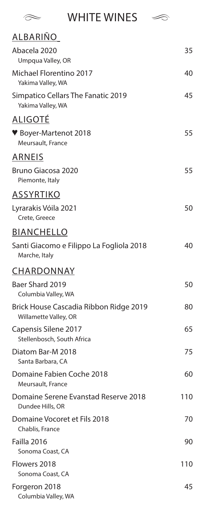$\approx$  WHITE WINES  $\approx$ 

| <u>ALBARIÑO</u>                                                 |     |
|-----------------------------------------------------------------|-----|
| Abacela 2020<br>Umpqua Valley, OR                               | 35  |
| Michael Florentino 2017<br>Yakima Valley, WA                    | 40  |
| Simpatico Cellars The Fanatic 2019<br>Yakima Valley, WA         | 45  |
| <u>ALIGOTÉ</u>                                                  |     |
| ♥ Boyer-Martenot 2018<br>Meursault, France                      | 55  |
| <b>ARNEIS</b>                                                   |     |
| <b>Bruno Giacosa 2020</b><br>Piemonte, Italy                    | 55  |
| <b>ASSYRTIKO</b>                                                |     |
| Lyrarakis Vóila 2021<br>Crete, Greece                           | 50  |
| <b>BIANCHELLO</b>                                               |     |
| Santi Giacomo e Filippo La Fogliola 2018<br>Marche, Italy       | 40  |
| CHARDONNAY                                                      |     |
| Baer Shard 2019<br>Columbia Valley, WA                          | 50  |
| Brick House Cascadia Ribbon Ridge 2019<br>Willamette Valley, OR | 80  |
| Capensis Silene 2017<br>Stellenbosch, South Africa              | 65  |
| Diatom Bar-M 2018<br>Santa Barbara, CA                          | 75  |
| Domaine Fabien Coche 2018<br>Meursault, France                  | 60  |
| Domaine Serene Evanstad Reserve 2018<br>Dundee Hills, OR        | 110 |
| Domaine Vocoret et Fils 2018<br>Chablis, France                 | 70  |
| Failla 2016                                                     | 90  |
| Sonoma Coast, CA                                                |     |
| Flowers 2018<br>Sonoma Coast, CA                                | 110 |
| Forgeron 2018<br>Columbia Valley, WA                            | 45  |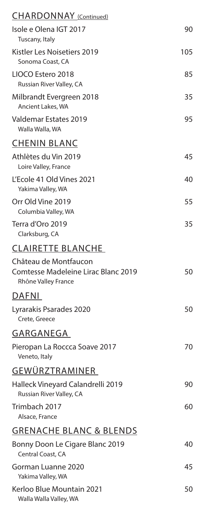| <b>CHARDONNAY</b> (Continued)                                                              |     |
|--------------------------------------------------------------------------------------------|-----|
| Isole e Olena IGT 2017<br>Tuscany, Italy                                                   | 90  |
| Kistler Les Noisetiers 2019<br>Sonoma Coast, CA                                            | 105 |
| LIOCO Estero 2018<br>Russian River Valley, CA                                              | 85  |
| Milbrandt Evergreen 2018<br>Ancient Lakes, WA                                              | 35  |
| <b>Valdemar Estates 2019</b><br>Walla Walla, WA                                            | 95  |
| <b>CHENIN BLANC</b>                                                                        |     |
| Athlètes du Vin 2019<br>Loire Valley, France                                               | 45  |
| L'Ecole 41 Old Vines 2021<br>Yakima Valley, WA                                             | 40  |
| Orr Old Vine 2019<br>Columbia Valley, WA                                                   | 55  |
| Terra d'Oro 2019<br>Clarksburg, CA                                                         | 35  |
| <b>CLAIRETTE BLANCHE</b>                                                                   |     |
| Château de Montfaucon<br><b>Comtesse Madeleine Lirac Blanc 2019</b><br>Rhône Valley France | 50  |
| DAFNI                                                                                      |     |
| Lyrarakis Psarades 2020<br>Crete, Greece                                                   | 50  |
| GARGANEGA                                                                                  |     |
| Pieropan La Roccca Soave 2017<br>Veneto, Italy                                             | 70  |
| GEWÜRZTRAMINER                                                                             |     |
| Halleck Vineyard Calandrelli 2019<br>Russian River Valley, CA                              | 90  |
| Trimbach 2017<br>Alsace, France                                                            | 60  |
| <b>GRENACHE BLANC &amp; BLENDS</b>                                                         |     |
| Bonny Doon Le Cigare Blanc 2019<br>Central Coast, CA                                       | 40  |
| Gorman Luanne 2020<br>Yakima Valley, WA                                                    | 45  |
| Kerloo Blue Mountain 2021<br>Walla Walla Valley, WA                                        | 50  |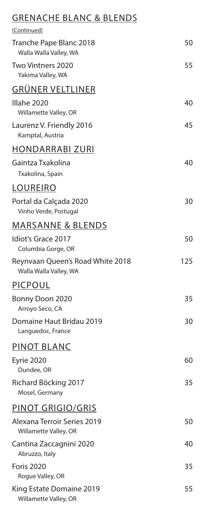## GRENACHE BLANC & BLENDS

| (Continued)                                                |     |
|------------------------------------------------------------|-----|
| Tranche Pape Blanc 2018<br>Walla Walla Valley, WA          | 50  |
| Two Vintners 2020<br>Yakima Valley, WA                     | 55  |
| <b>GRÜNER VELTLINER</b>                                    |     |
| Illahe 2020<br>Willamette Valley, OR                       | 40  |
| Laurenz V. Friendly 2016<br>Kamptal, Austria               | 45  |
| <b>HONDARRABI ZURI</b>                                     |     |
| Gaintza Txakolina<br>Txakolina, Spain                      | 40  |
| LOUREIRO                                                   |     |
| Portal da Calçada 2020<br>Vinho Verde, Portugal            | 30  |
| <b>MARSANNE &amp; BLENDS</b>                               |     |
| Idiot's Grace 2017<br>Columbia Gorge, OR                   | 50  |
| Reynvaan Queen's Road White 2018<br>Walla Walla Valley, WA | 125 |
| <b>PICPOUL</b>                                             |     |
| Bonny Doon 2020<br>Arroyo Seco, CA                         | 35  |
| Domaine Haut Bridau 2019<br>Languedoc, France              | 30  |
| PINOT BLANC                                                |     |
| <b>Eyrie 2020</b><br>Dundee, OR                            | 60  |
| Richard Böcking 2017<br>Mosel, Germany                     | 35  |
| PINOT GRIGIO/GRIS                                          |     |
| Alexana Terroir Series 2019<br>Willamette Valley, OR       | 50  |
| Cantina Zaccagnini 2020<br>Abruzzo, Italy                  | 40  |
| <b>Foris 2020</b><br>Rogue Valley, OR                      | 35  |
| King Estate Domaine 2019<br>Willamette Valley, OR          | 55  |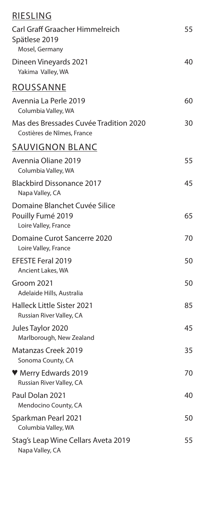| <b>RIESLING</b>                                                            |    |
|----------------------------------------------------------------------------|----|
| <b>Carl Graff Graacher Himmelreich</b><br>Spätlese 2019<br>Mosel, Germany  | 55 |
| Dineen Vineyards 2021<br>Yakima Valley, WA                                 | 40 |
| <b>ROUSSANNE</b>                                                           |    |
| Avennia La Perle 2019<br>Columbia Valley, WA                               | 60 |
| Mas des Bressades Cuvée Tradition 2020<br>Costières de Nîmes, France       | 30 |
| <b>SAUVIGNON BLANC</b>                                                     |    |
| Avennia Oliane 2019<br>Columbia Valley, WA                                 | 55 |
| <b>Blackbird Dissonance 2017</b><br>Napa Valley, CA                        | 45 |
| Domaine Blanchet Cuvée Silice<br>Pouilly Fumé 2019<br>Loire Valley, France | 65 |
| <b>Domaine Curot Sancerre 2020</b><br>Loire Valley, France                 | 70 |
| <b>EFESTE Feral 2019</b><br>Ancient Lakes, WA                              | 50 |
| Groom 2021<br>Adelaide Hills, Australia                                    | 50 |
| <b>Halleck Little Sister 2021</b><br>Russian River Valley, CA              | 85 |
| Jules Taylor 2020<br>Marlborough, New Zealand                              | 45 |
| Matanzas Creek 2019<br>Sonoma County, CA                                   | 35 |
| ♥ Merry Edwards 2019<br>Russian River Valley, CA                           | 70 |
| Paul Dolan 2021<br>Mendocino County, CA                                    | 40 |
| Sparkman Pearl 2021<br>Columbia Valley, WA                                 | 50 |
| Stag's Leap Wine Cellars Aveta 2019<br>Napa Valley, CA                     | 55 |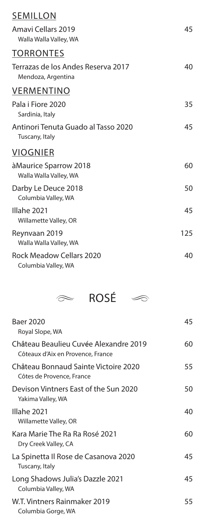## SEMILLON

| <u> ----------</u>                                       |     |
|----------------------------------------------------------|-----|
| Amavi Cellars 2019<br>Walla Walla Valley, WA             | 45  |
| <b>TORRONTES</b>                                         |     |
| Terrazas de los Andes Reserva 2017<br>Mendoza, Argentina | 40  |
| <b>VERMENTINO</b>                                        |     |
| Pala i Fiore 2020<br>Sardinia, Italy                     | 35  |
| Antinori Tenuta Guado al Tasso 2020<br>Tuscany, Italy    | 45  |
| <b>VIOGNIER</b>                                          |     |
| àMaurice Sparrow 2018<br>Walla Walla Valley, WA          | 60  |
| Darby Le Deuce 2018<br>Columbia Valley, WA               | 50  |
| Illahe 2021<br>Willamette Valley, OR                     | 45  |
| Reynvaan 2019<br>Walla Walla Valley, WA                  | 125 |
| <b>Rock Meadow Cellars 2020</b><br>Columbia Valley, WA   | 40  |
|                                                          |     |



| <b>Baer 2020</b><br>Royal Slope, WA                                        | 45 |
|----------------------------------------------------------------------------|----|
| Château Beaulieu Cuvée Alexandre 2019<br>Côteaux d'Aix en Provence, France | 60 |
| Château Bonnaud Sainte Victoire 2020<br>Côtes de Provence, France          | 55 |
| Devison Vintners East of the Sun 2020<br>Yakima Valley, WA                 | 50 |
| Illahe 2021<br>Willamette Valley, OR                                       | 40 |
| Kara Marie The Ra Ra Rosé 2021<br>Dry Creek Valley, CA                     | 60 |
| La Spinetta Il Rose de Casanova 2020<br>Tuscany, Italy                     | 45 |
| Long Shadows Julia's Dazzle 2021<br>Columbia Valley, WA                    | 45 |
| W.T. Vintners Rainmaker 2019<br>Columbia Gorge, WA                         | 55 |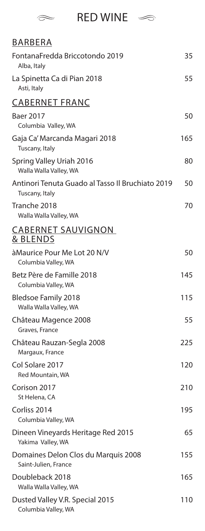

## $\approx$  RED WINE  $\approx$

| <b>BARBERA</b>                                                     |     |
|--------------------------------------------------------------------|-----|
| FontanaFredda Briccotondo 2019<br>Alba, Italy                      | 35  |
| La Spinetta Ca di Pian 2018<br>Asti, Italy                         | 55  |
| <b>CABERNET FRANC</b>                                              |     |
| Baer 2017<br>Columbia Valley, WA                                   | 50  |
| Gaja Ca' Marcanda Magari 2018<br>Tuscany, Italy                    | 165 |
| Spring Valley Uriah 2016<br>Walla Walla Valley, WA                 | 80  |
| Antinori Tenuta Guado al Tasso Il Bruchiato 2019<br>Tuscany, Italy | 50  |
| Tranche 2018<br>Walla Walla Valley, WA                             | 70  |
| <b>CABERNET SAUVIGNON</b><br>& BLENDS                              |     |
| à Maurice Pour Me Lot 20 N/V<br>Columbia Valley, WA                | 50  |
| Betz Père de Famille 2018<br>Columbia Valley, WA                   | 145 |
| <b>Bledsoe Family 2018</b><br>Walla Walla Valley, WA               | 115 |
| Château Magence 2008<br>Graves, France                             | 55  |
| Château Rauzan-Segla 2008<br>Margaux, France                       | 225 |
| Col Solare 2017<br>Red Mountain, WA                                | 120 |
| Corison 2017<br>St Helena, CA                                      | 210 |
| Corliss 2014<br>Columbia Valley, WA                                | 195 |
| Dineen Vineyards Heritage Red 2015<br>Yakima Valley, WA            | 65  |
| Domaines Delon Clos du Marquis 2008<br>Saint-Julien, France        | 155 |
| Doubleback 2018<br>Walla Walla Valley, WA                          | 165 |
| Dusted Valley V.R. Special 2015<br>Columbia Valley, WA             | 110 |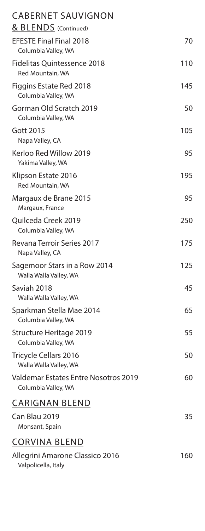| <b>CABERNET SAUVIGNON</b>                                   |     |
|-------------------------------------------------------------|-----|
| & BLENDS (Continued)                                        |     |
| <b>EFESTE Final Final 2018</b><br>Columbia Valley, WA       | 70  |
| <b>Fidelitas Quintessence 2018</b><br>Red Mountain, WA      | 110 |
| Figgins Estate Red 2018<br>Columbia Valley, WA              | 145 |
| Gorman Old Scratch 2019<br>Columbia Valley, WA              | 50  |
| <b>Gott 2015</b><br>Napa Valley, CA                         | 105 |
| Kerloo Red Willow 2019<br>Yakima Valley, WA                 | 95  |
| Klipson Estate 2016<br>Red Mountain, WA                     | 195 |
| Margaux de Brane 2015<br>Margaux, France                    | 95  |
| Quilceda Creek 2019<br>Columbia Valley, WA                  | 250 |
| <b>Revana Terroir Series 2017</b><br>Napa Valley, CA        | 175 |
| Sagemoor Stars in a Row 2014<br>Walla Walla Valley, WA      | 125 |
| Saviah 2018<br>Walla Walla Valley, WA                       | 45  |
| Sparkman Stella Mae 2014<br>Columbia Valley, WA             | 65  |
| Structure Heritage 2019<br>Columbia Valley, WA              | 55  |
| <b>Tricycle Cellars 2016</b><br>Walla Walla Valley, WA      | 50  |
| Valdemar Estates Entre Nosotros 2019<br>Columbia Valley, WA | 60  |
| <b>CARIGNAN BLEND</b>                                       |     |
| Can Blau 2019<br>Monsant, Spain                             | 35  |
| <b>CORVINA BLEND</b>                                        |     |
| Allegrini Amarone Classico 2016<br>Valpolicella, Italy      | 160 |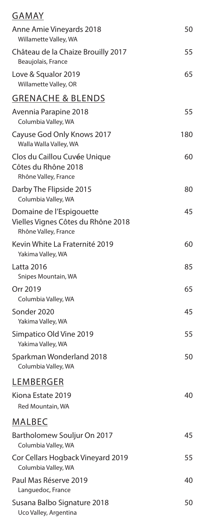| GAMAY                                                                                  |     |
|----------------------------------------------------------------------------------------|-----|
| Anne Amie Vineyards 2018<br>Willamette Valley, WA                                      | 50  |
| Château de la Chaize Brouilly 2017<br>Beaujolais, France                               | 55  |
| Love & Squalor 2019<br>Willamette Valley, OR                                           | 65  |
| <b>GRENACHE &amp; BLENDS</b>                                                           |     |
| Avennia Parapine 2018<br>Columbia Valley, WA                                           | 55  |
| Cayuse God Only Knows 2017<br>Walla Walla Valley, WA                                   | 180 |
| Clos du Caillou Cuvée Unique<br>Côtes du Rhône 2018<br>Rhône Valley, France            | 60  |
| Darby The Flipside 2015<br>Columbia Valley, WA                                         | 80  |
| Domaine de l'Espigouette<br>Vielles Vignes Côtes du Rhône 2018<br>Rhône Valley, France | 45  |
| Kevin White La Fraternité 2019<br>Yakima Valley, WA                                    | 60  |
| Latta 2016<br>Snipes Mountain, WA                                                      | 85  |
| Orr 2019<br>Columbia Valley, WA                                                        | 65  |
| Sonder 2020<br>Yakima Valley, WA                                                       | 45  |
| Simpatico Old Vine 2019<br>Yakima Valley, WA                                           | 55  |
| Sparkman Wonderland 2018<br>Columbia Valley, WA                                        | 50  |
| <b>LEMBERGER</b>                                                                       |     |
| Kiona Estate 2019<br>Red Mountain, WA                                                  | 40  |
| <u>MALBEC</u>                                                                          |     |
| Bartholomew Souljur On 2017<br>Columbia Valley, WA                                     | 45  |
| Cor Cellars Hogback Vineyard 2019<br>Columbia Valley, WA                               | 55  |
| Paul Mas Réserve 2019<br>Languedoc, France                                             | 40  |
| Susana Balbo Signature 2018<br>Uco Valley, Argentina                                   | 50  |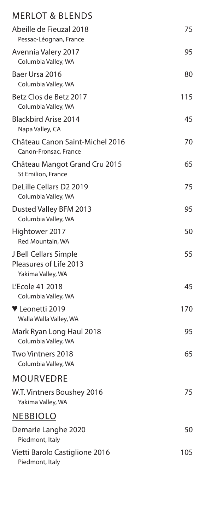## MERLOT & BLENDS

| Abeille de Fieuzal 2018<br>Pessac-Léognan, France                    | 75  |
|----------------------------------------------------------------------|-----|
| Avennia Valery 2017<br>Columbia Valley, WA                           | 95  |
| Baer Ursa 2016<br>Columbia Valley, WA                                | 80  |
| Betz Clos de Betz 2017<br>Columbia Valley, WA                        | 115 |
| <b>Blackbird Arise 2014</b><br>Napa Valley, CA                       | 45  |
| Château Canon Saint-Michel 2016<br>Canon-Fronsac, France             | 70  |
| Château Mangot Grand Cru 2015<br>St Emilion, France                  | 65  |
| DeLille Cellars D2 2019<br>Columbia Valley, WA                       | 75  |
| Dusted Valley BFM 2013<br>Columbia Valley, WA                        | 95  |
| Hightower 2017<br>Red Mountain, WA                                   | 50  |
| J Bell Cellars Simple<br>Pleasures of Life 2013<br>Yakima Valley, WA | 55  |
| L'Ecole 41 2018<br>Columbia Valley, WA                               | 45  |
| ♥ Leonetti 2019<br>Walla Walla Valley, WA                            | 170 |
| Mark Ryan Long Haul 2018<br>Columbia Valley, WA                      | 95  |
| Two Vintners 2018<br>Columbia Valley, WA                             | 65  |
| MOURVEDRE                                                            |     |
| W.T. Vintners Boushey 2016<br>Yakima Valley, WA                      | 75  |
| <b>NEBBIOLO</b>                                                      |     |
| Demarie Langhe 2020<br>Piedmont, Italy                               | 50  |
| Vietti Barolo Castiglione 2016<br>Piedmont, Italy                    | 105 |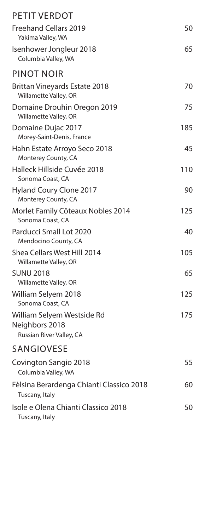| <b>PETIT VERDOT</b>                                                      |     |
|--------------------------------------------------------------------------|-----|
| <b>Freehand Cellars 2019</b><br>Yakima Valley, WA                        | 50  |
| Isenhower Jongleur 2018<br>Columbia Valley, WA                           | 65  |
| <b>PINOT NOIR</b>                                                        |     |
| <b>Brittan Vineyards Estate 2018</b><br>Willamette Valley, OR            | 70  |
| Domaine Drouhin Oregon 2019<br>Willamette Valley, OR                     | 75  |
| Domaine Dujac 2017<br>Morey-Saint-Denis, France                          | 185 |
| Hahn Estate Arroyo Seco 2018<br>Monterey County, CA                      | 45  |
| Halleck Hillside Cuvée 2018<br>Sonoma Coast, CA                          | 110 |
| <b>Hyland Coury Clone 2017</b><br>Monterey County, CA                    | 90  |
| Morlet Family Côteaux Nobles 2014<br>Sonoma Coast, CA                    | 125 |
| Parducci Small Lot 2020<br>Mendocino County, CA                          | 40  |
| Shea Cellars West Hill 2014<br>Willamette Valley, OR                     | 105 |
| <b>SUNU 2018</b><br>Willamette Valley, OR                                | 65  |
| William Selyem 2018<br>Sonoma Coast, CA                                  | 125 |
| William Selyem Westside Rd<br>Neighbors 2018<br>Russian River Valley, CA | 175 |
| <b>SANGIOVESE</b>                                                        |     |
| Covington Sangio 2018<br>Columbia Valley, WA                             | 55  |
| Fèlsina Berardenga Chianti Classico 2018<br>Tuscany, Italy               | 60  |
| Isole e Olena Chianti Classico 2018<br>Tuscany, Italy                    | 50  |